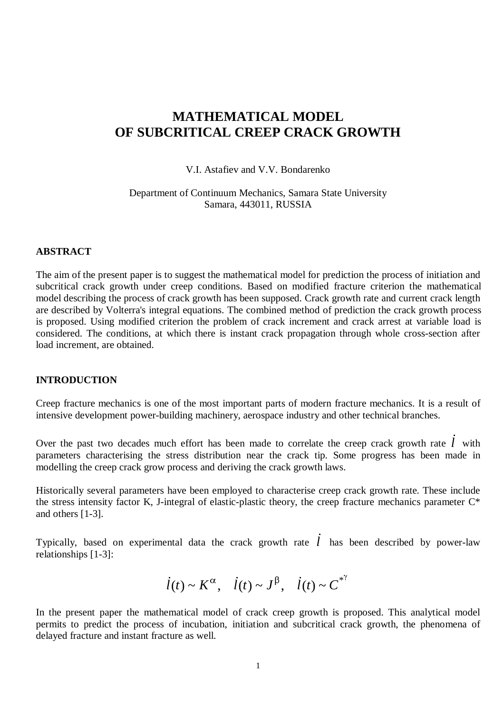# **MATHEMATICAL MODEL OF SUBCRITICAL CREEP CRACK GROWTH**

V.I. Astafiev and V.V. Bondarenko

Department of Continuum Mechanics, Samara State University Samara, 443011, RUSSIA

### **ABSTRACT**

The aim of the present paper is to suggest the mathematical model for prediction the process of initiation and subcritical crack growth under creep conditions. Based on modified fracture criterion the mathematical model describing the process of crack growth has been supposed. Crack growth rate and current crack length are described by Volterra's integral equations. The combined method of prediction the crack growth process is proposed. Using modified criterion the problem of crack increment and crack arrest at variable load is considered. The conditions, at which there is instant crack propagation through whole cross-section after load increment, are obtained.

## **INTRODUCTION**

Creep fracture mechanics is one of the most important parts of modern fracture mechanics. It is a result of intensive development power-building machinery, aerospace industry and other technical branches.

Over the past two decades much effort has been made to correlate the creep crack growth rate *l* with parameters characterising the stress distribution near the crack tip. Some progress has been made in modelling the creep crack grow process and deriving the crack growth laws.

Historically several parameters have been employed to characterise creep crack growth rate. These include the stress intensity factor K, J-integral of elastic-plastic theory, the creep fracture mechanics parameter C\* and others [1-3]. regram or chastic phases theory,

Typically, based on experimental data the crack growth rate *l* has been described by power-law relationships [1-3]:

$$
\dot{l}(t) \sim K^{\alpha}, \quad \dot{l}(t) \sim J^{\beta}, \quad \dot{l}(t) \sim C^{*\gamma}
$$

In the present paper the mathematical model of crack creep growth is proposed. This analytical model permits to predict the process of incubation, initiation and subcritical crack growth, the phenomena of delayed fracture and instant fracture as well.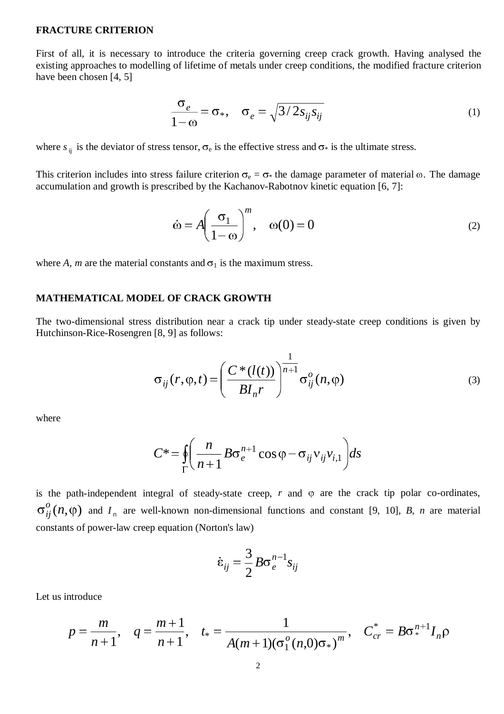#### **FRACTURE CRITERION**

First of all, it is necessary to introduce the criteria governing creep crack growth. Having analysed the existing approaches to modelling of lifetime of metals under creep conditions, the modified fracture criterion have been chosen [4, 5]

$$
\frac{\sigma_e}{1-\omega} = \sigma_*, \quad \sigma_e = \sqrt{3/2s_{ij}s_{ij}}
$$
(1)

where  $s_{ij}$  is the deviator of stress tensor,  $\sigma_e$  is the effective stress and  $\sigma_*$  is the ultimate stress.

This criterion includes into stress failure criterion  $\sigma_e = \sigma_*$  the damage parameter of material  $\omega$ . The damage accumulation and growth is prescribed by the Kachanov-Rabotnov kinetic equation [6, 7]:

$$
\dot{\omega} = A \left( \frac{\sigma_1}{1 - \omega} \right)^m, \quad \omega(0) = 0 \tag{2}
$$

where *A, m* are the material constants and  $\sigma_1$  is the maximum stress.

### **MATHEMATICAL MODEL OF CRACK GROWTH**

The two-dimensional stress distribution near a crack tip under steady-state creep conditions is given by Hutchinson-Rice-Rosengren [8, 9] as follows:

$$
\sigma_{ij}(r,\varphi,t) = \left(\frac{C^*(l(t))}{BI_n r}\right)^{\frac{1}{n+1}} \sigma_{ij}^o(n,\varphi)
$$
\n(3)

where

$$
C^* = \oint_{\Gamma} \left( \frac{n}{n+1} B \sigma_e^{n+1} \cos \varphi - \sigma_{ij} v_{ij} v_{i,1} \right) ds
$$

is the path-independent integral of steady-state creep,  $r$  and  $\varphi$  are the crack tip polar co-ordinates,  $\sigma_{ij}^o(n,\varphi)$  and  $I_n$  are well-known non-dimensional functions and constant [9, 10], *B*, *n* are material constants of power-law creep equation (Norton's law) v-state creep, r<br>imensional fund<br>on's law)<br> $\dot{\varepsilon}_{ii} = \frac{3}{2} B \sigma_e^{n}$ 

$$
\dot{\varepsilon}_{ij} = \frac{3}{2} B \sigma_e^{n-1} s_{ij}
$$

Let us introduce

$$
p = \frac{m}{n+1}, \quad q = \frac{m+1}{n+1}, \quad t_* = \frac{1}{A(m+1)(\sigma_1^o(n,0)\sigma_*)^m}, \quad C_{cr}^* = B\sigma_*^{n+1}I_n\rho
$$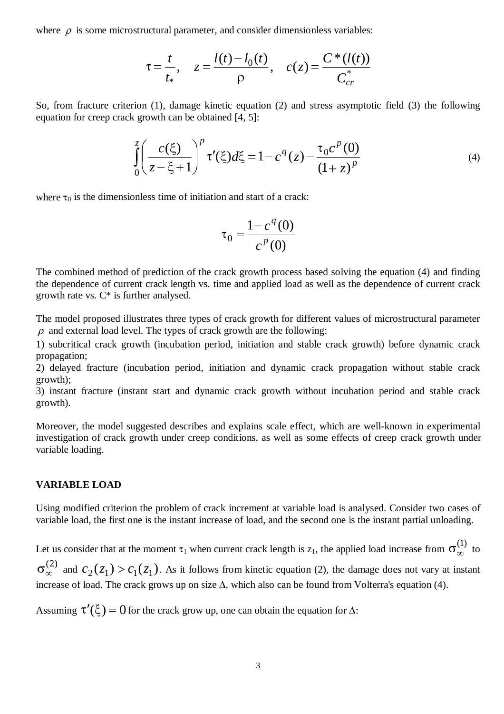where  $\rho$  is some microstructural parameter, and consider dimensionless variables:

$$
\tau = \frac{t}{t_*}, \quad z = \frac{l(t) - l_0(t)}{\rho}, \quad c(z) = \frac{C^*(l(t))}{C_{cr}^*}
$$

So, from fracture criterion (1), damage kinetic equation (2) and stress asymptotic field (3) the following equation for creep crack growth can be obtained [4, 5]:

$$
\int_{0}^{z} \left( \frac{c(\xi)}{z - \xi + 1} \right)^p \tau'(\xi) d\xi = 1 - c^q(z) - \frac{\tau_0 c^p(0)}{(1 + z)^p}
$$
(4)

where  $\tau_0$  is the dimensionless time of initiation and start of a crack:

$$
\tau_0 = \frac{1 - c^q(0)}{c^p(0)}
$$

The combined method of prediction of the crack growth process based solving the equation (4) and finding the dependence of current crack length vs. time and applied load as well as the dependence of current crack growth rate vs. C\* is further analysed.

The model proposed illustrates three types of crack growth for different values of microstructural parameter  $\rho$  and external load level. The types of crack growth are the following:

1) subcritical crack growth (incubation period, initiation and stable crack growth) before dynamic crack propagation;

2) delayed fracture (incubation period, initiation and dynamic crack propagation without stable crack growth);

3) instant fracture (instant start and dynamic crack growth without incubation period and stable crack growth).

Moreover, the model suggested describes and explains scale effect, which are well-known in experimental investigation of crack growth under creep conditions, as well as some effects of creep crack growth under variable loading.

### **VARIABLE LOAD**

Using modified criterion the problem of crack increment at variable load is analysed. Consider two cases of variable load, the first one is the instant increase of load, and the second one is the instant partial unloading.

Let us consider that at the moment  $\tau_1$  when current crack length is  $z_1$ , the applied load increase from  $\sigma_{\infty}^{(1)}$  to

 $\sigma_{\infty}^{(2)}$  and  $c_2(z_1) > c_1(z_1)$ . As it follows from kinetic equation (2), the damage does not vary at instant increase of load. The crack grows up on size  $\Delta$ , which also can be found from Volterra's equation (4).

Assuming  $\tau'(\xi) = 0$  for the crack grow up, one can obtain the equation for  $\Delta$ :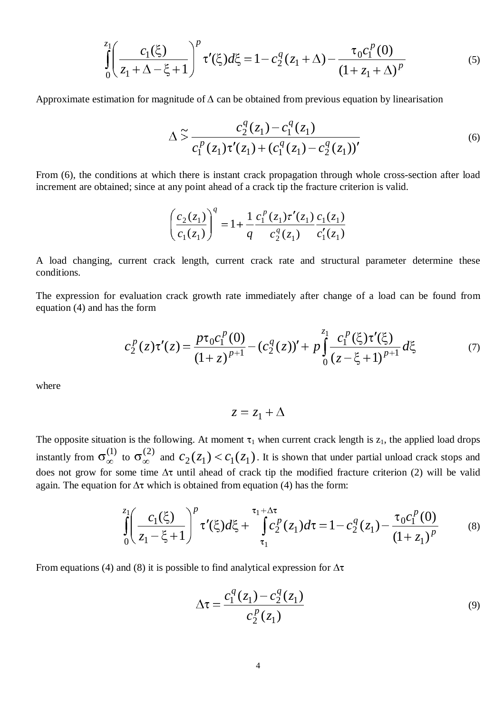$$
\int_{0}^{z_1} \left( \frac{c_1(\xi)}{z_1 + \Delta - \xi + 1} \right)^p \tau'(\xi) d\xi = 1 - c_2^q (z_1 + \Delta) - \frac{\tau_0 c_1^p(0)}{(1 + z_1 + \Delta)^p}
$$
(5)

Approximate estimation for magnitude of  $\Delta$  can be obtained from previous equation by linearisation

$$
\Delta \tilde{\sigma} \frac{c_2^q(z_1) - c_1^q(z_1)}{c_1^p(z_1)\tau'(z_1) + (c_1^q(z_1) - c_2^q(z_1))'}
$$
\n(6)

From (6), the conditions at which there is instant crack propagation through whole cross-section after load increment are obtained; since at any point ahead of a crack tip the fracture criterion is valid.

$$
\left(\frac{c_2(z_1)}{c_1(z_1)}\right)^q = 1 + \frac{1}{q} \frac{c_1^p(z_1)\tau'(z_1)}{c_2^q(z_1)} \frac{c_1(z_1)}{c_1'(z_1)}
$$

A load changing, current crack length, current crack rate and structural parameter determine these conditions.

The expression for evaluation crack growth rate immediately after change of a load can be found from equation (4) and has the form

$$
c_2^p(z)\tau'(z) = \frac{p\tau_0 c_1^p(0)}{(1+z)^{p+1}} - (c_2^q(z))' + p \int_0^{z_1} \frac{c_1^p(\xi)\tau'(\xi)}{(z-\xi+1)^{p+1}} d\xi \tag{7}
$$

where

$$
z = z_1 + \Delta
$$

The opposite situation is the following. At moment  $\tau_1$  when current crack length is  $z_1$ , the applied load drops instantly from  $\sigma_{\infty}^{(1)}$  to  $\sigma_{\infty}^{(2)}$  and  $c_2(z_1) < c_1(z_1)$ . It is shown that under partial unload crack stops and does not grow for some time  $\Delta \tau$  until ahead of crack tip the modified fracture criterion (2) will be valid again. The equation for  $\Delta \tau$  which is obtained from equation (4) has the form:

$$
\int_{0}^{z_1} \left( \frac{c_1(\xi)}{z_1 - \xi + 1} \right)^p \tau'(\xi) d\xi + \int_{\tau_1}^{\tau_1 + \Delta \tau} c_2^p(z_1) d\tau = 1 - c_2^q(z_1) - \frac{\tau_0 c_1^p(0)}{(1 + z_1)^p}
$$
(8)

From equations (4) and (8) it is possible to find analytical expression for  $\Delta \tau$ 

$$
\Delta \tau = \frac{c_1^q(z_1) - c_2^q(z_1)}{c_2^p(z_1)}
$$
(9)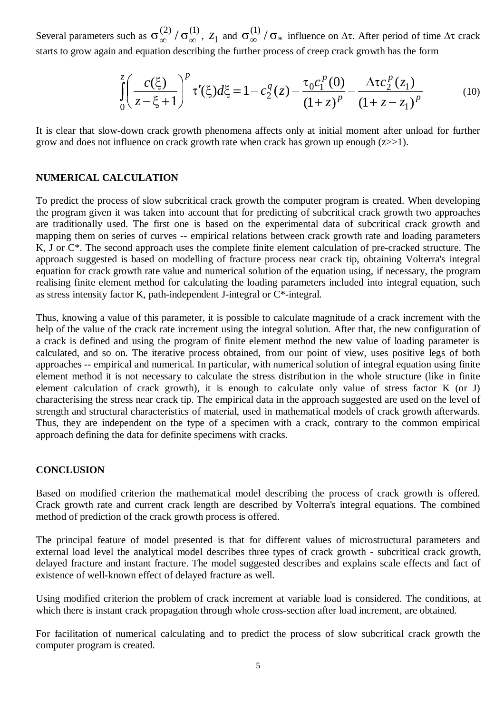Several parameters such as  $\sigma_{\infty}^{(2)}/\sigma_{\infty}^{(1)}$ ,  $z_1$  and  $\sigma_{\infty}^{(1)}/\sigma_{*}$  influence on  $\Delta \tau$ . After period of time  $\Delta \tau$  crack starts to grow again and equation describing the further process of creep crack growth has the form

$$
\int_{0}^{z} \left(\frac{c(\xi)}{z-\xi+1}\right)^{p} \tau'(\xi) d\xi = 1 - c_2^q(z) - \frac{\tau_0 c_1^p(0)}{(1+z)^p} - \frac{\Delta \tau c_2^p(z_1)}{(1+z-z_1)^p}
$$
(10)

It is clear that slow-down crack growth phenomena affects only at initial moment after unload for further grow and does not influence on crack growth rate when crack has grown up enough  $(z\gg1)$ .

## **NUMERICAL CALCULATION**

To predict the process of slow subcritical crack growth the computer program is created. When developing the program given it was taken into account that for predicting of subcritical crack growth two approaches are traditionally used. The first one is based on the experimental data of subcritical crack growth and mapping them on series of curves -- empirical relations between crack growth rate and loading parameters K, J or C\*. The second approach uses the complete finite element calculation of pre-cracked structure. The approach suggested is based on modelling of fracture process near crack tip, obtaining Volterra's integral equation for crack growth rate value and numerical solution of the equation using, if necessary, the program realising finite element method for calculating the loading parameters included into integral equation, such as stress intensity factor K, path-independent J-integral or C\*-integral.

Thus, knowing a value of this parameter, it is possible to calculate magnitude of a crack increment with the help of the value of the crack rate increment using the integral solution. After that, the new configuration of a crack is defined and using the program of finite element method the new value of loading parameter is calculated, and so on. The iterative process obtained, from our point of view, uses positive legs of both approaches -- empirical and numerical. In particular, with numerical solution of integral equation using finite element method it is not necessary to calculate the stress distribution in the whole structure (like in finite element calculation of crack growth), it is enough to calculate only value of stress factor K (or J) characterising the stress near crack tip. The empirical data in the approach suggested are used on the level of strength and structural characteristics of material, used in mathematical models of crack growth afterwards. Thus, they are independent on the type of a specimen with a crack, contrary to the common empirical approach defining the data for definite specimens with cracks.

## **CONCLUSION**

Based on modified criterion the mathematical model describing the process of crack growth is offered. Crack growth rate and current crack length are described by Volterra's integral equations. The combined method of prediction of the crack growth process is offered.

The principal feature of model presented is that for different values of microstructural parameters and external load level the analytical model describes three types of crack growth - subcritical crack growth, delayed fracture and instant fracture. The model suggested describes and explains scale effects and fact of existence of well-known effect of delayed fracture as well.

Using modified criterion the problem of crack increment at variable load is considered. The conditions, at which there is instant crack propagation through whole cross-section after load increment, are obtained.

For facilitation of numerical calculating and to predict the process of slow subcritical crack growth the computer program is created.